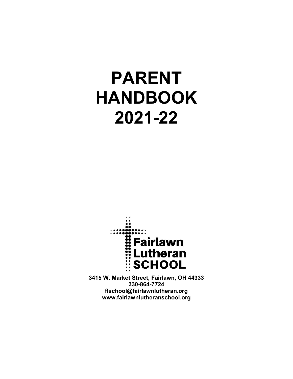# **PARENT HANDBOOK 2021-22**



**3415 W. Market Street, Fairlawn, OH 44333 330-864-7724 flschool@fairlawnlutheran.org www.fairlawnlutheranschool.org**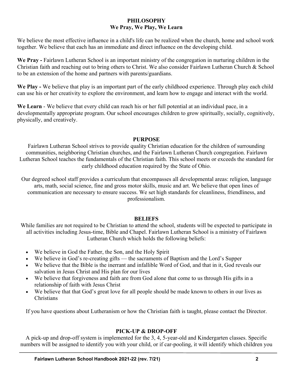## **PHILOSOPHY We Pray, We Play, We Learn**

We believe the most effective influence in a child's life can be realized when the church, home and school work together. We believe that each has an immediate and direct influence on the developing child.

**We Pray -** Fairlawn Lutheran School is an important ministry of the congregation in nurturing children in the Christian faith and reaching out to bring others to Christ. We also consider Fairlawn Lutheran Church & School to be an extension of the home and partners with parents/guardians.

**We Play -** We believe that play is an important part of the early childhood experience. Through play each child can use his or her creativity to explore the environment, and learn how to engage and interact with the world.

**We Learn** - We believe that every child can reach his or her full potential at an individual pace, in a developmentally appropriate program. Our school encourages children to grow spiritually, socially, cognitively, physically, and creatively.

# **PURPOSE**

Fairlawn Lutheran School strives to provide quality Christian education for the children of surrounding communities, neighboring Christian churches, and the Fairlawn Lutheran Church congregation. Fairlawn Lutheran School teaches the fundamentals of the Christian faith. This school meets or exceeds the standard for early childhood education required by the State of Ohio.

Our degreed school staff provides a curriculum that encompasses all developmental areas: religion, language arts, math, social science, fine and gross motor skills, music and art. We believe that open lines of communication are necessary to ensure success. We set high standards for cleanliness, friendliness, and professionalism.

## **BELIEFS**

While families are not required to be Christian to attend the school, students will be expected to participate in all activities including Jesus-time, Bible and Chapel. Fairlawn Lutheran School is a ministry of Fairlawn Lutheran Church which holds the following beliefs:

- We believe in God the Father, the Son, and the Holy Spirit
- We believe in God's re-creating gifts the sacraments of Baptism and the Lord's Supper
- We believe that the Bible is the inerrant and infallible Word of God, and that in it, God reveals our salvation in Jesus Christ and His plan for our lives
- We believe that forgiveness and faith are from God alone that come to us through His gifts in a relationship of faith with Jesus Christ
- We believe that that God's great love for all people should be made known to others in our lives as Christians

If you have questions about Lutheranism or how the Christian faith is taught, please contact the Director.

# **PICK-UP & DROP-OFF**

A pick-up and drop-off system is implemented for the 3, 4, 5-year-old and Kindergarten classes. Specific numbers will be assigned to identify you with your child, or if car-pooling, it will identify which children you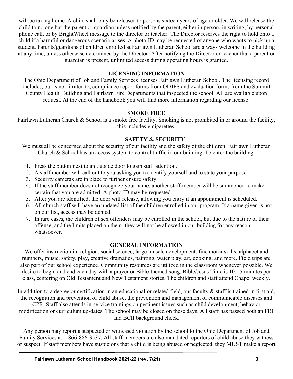will be taking home. A child shall only be released to persons sixteen years of age or older. We will release the child to no one but the parent or guardian unless notified by the parent, either in person, in writing, by personal phone call, or by BrightWheel message to the director or teacher. The Director reserves the right to hold onto a child if a harmful or dangerous scenario arises. A photo ID may be requested of anyone who wants to pick up a student. Parents/guardians of children enrolled at Fairlawn Lutheran School are always welcome in the building at any time, unless otherwise determined by the Director. After notifying the Director or teacher that a parent or guardian is present, unlimited access during operating hours is granted.

## **LICENSING INFORMATION**

The Ohio Department of Job and Family Services licenses Fairlawn Lutheran School. The licensing record includes, but is not limited to, compliance report forms from ODJFS and evaluation forms from the Summit County Health, Building and Fairlawn Fire Departments that inspected the school. All are available upon request. At the end of the handbook you will find more information regarding our license.

## **SMOKE FREE**

Fairlawn Lutheran Church & School is a smoke free facility. Smoking is not prohibited in or around the facility, this includes e-cigarettes.

## **SAFETY & SECURITY**

We must all be concerned about the security of our facility and the safety of the children. Fairlawn Lutheran Church & School has an access system to control traffic in our building. To enter the building:

- 1. Press the button next to an outside door to gain staff attention.
- 2. A staff member will call out to you asking you to identify yourself and to state your purpose.
- 3. Security cameras are in place to further ensure safety.
- 4. If the staff member does not recognize your name, another staff member will be summoned to make certain that you are admitted. A photo ID may be requested.
- 5. After you are identified, the door will release, allowing you entry if an appointment is scheduled.
- 6. All church staff will have an updated list of the children enrolled in our program. If a name given is not on our list, access may be denied.
- 7. In rare cases, the children of sex offenders may be enrolled in the school, but due to the nature of their offense, and the limits placed on them, they will not be allowed in our building for any reason whatsoever.

# **GENERAL INFORMATION**

We offer instruction in: religion, social science, large muscle development, fine motor skills, alphabet and numbers, music, safety, play, creative dramatics, painting, water play, art, cooking, and more. Field trips are also part of our school experience. Community resources are utilized in the classroom whenever possible. We desire to begin and end each day with a prayer or Bible-themed song. Bible/Jesus Time is 10-15 minutes per class, centering on Old Testament and New Testament stories. The children and staff attend Chapel weekly.

In addition to a degree or certification in an educational or related field, our faculty  $\&$  staff is trained in first aid, the recognition and prevention of child abuse, the prevention and management of communicable diseases and

CPR. Staff also attends in-service trainings on pertinent issues such as child development, behavior modification or curriculum up-dates. The school may be closed on these days. All staff has passed both an FBI and BCII background check.

Any person may report a suspected or witnessed violation by the school to the Ohio Department of Job and Family Services at 1-866-886-3537. All staff members are also mandated reporters of child abuse they witness or suspect. If staff members have suspicions that a child is being abused or neglected, they MUST make a report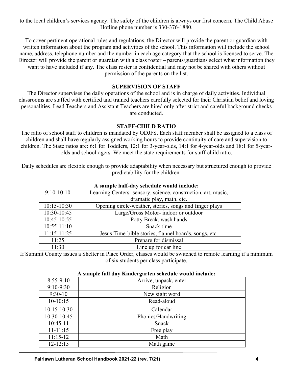to the local children's services agency. The safety of the children is always our first concern. The Child Abuse Hotline phone number is 330-376-1880.

To cover pertinent operational rules and regulations, the Director will provide the parent or guardian with written information about the program and activities of the school. This information will include the school name, address, telephone number and the number in each age category that the school is licensed to serve. The Director will provide the parent or guardian with a class roster – parents/guardians select what information they want to have included if any. The class roster is confidential and may not be shared with others without permission of the parents on the list.

#### **SUPERVISION OF STAFF**

The Director supervises the daily operations of the school and is in charge of daily activities. Individual classrooms are staffed with certified and trained teachers carefully selected for their Christian belief and loving personalities. Lead Teachers and Assistant Teachers are hired only after strict and careful background checks are conducted.

#### **STAFF-CHILD RATIO**

The ratio of school staff to children is mandated by ODJFS. Each staff member shall be assigned to a class of children and shall have regularly assigned working hours to provide continuity of care and supervision to children. The State ratios are: 6:1 for Toddlers, 12:1 for 3-year-olds, 14:1 for 4-year-olds and 18:1 for 5-yearolds and school-agers. We meet the state requirements for staff-child ratio.

Daily schedules are flexible enough to provide adaptability when necessary but structured enough to provide predictability for the children.

| A sample han-day schedule would include. |                                                              |
|------------------------------------------|--------------------------------------------------------------|
| $9:10-10:10$                             | Learning Centers-sensory, science, construction, art, music, |
|                                          | dramatic play, math, etc.                                    |
| $10:15 - 10:30$                          | Opening circle-weather, stories, songs and finger plays      |
| 10:30-10:45                              | Large/Gross Motor-indoor or outdoor                          |
| $10:45-10:55$                            | Potty Break, wash hands                                      |
| $10:55 - 11:10$                          | Snack time                                                   |
| $11:15 - 11:25$                          | Jesus Time-bible stories, flannel boards, songs, etc.        |
| 11:25                                    | Prepare for dismissal                                        |
| 11:30                                    | Line up for car line                                         |

## **A sample half-day schedule would include:**

If Summit County issues a Shelter in Place Order, classes would be switched to remote learning if a minimum of six students per class participate.

#### **A sample full day Kindergarten schedule would include:**

| $8:55-9:10$     | Arrive, unpack, enter |
|-----------------|-----------------------|
| $9:10-9:30$     | Religion              |
| $9:30-10$       | New sight word        |
| $10-10:15$      | Read-aloud            |
| $10:15 - 10:30$ | Calendar              |
| 10:30-10:45     | Phonics/Handwriting   |
| $10:45-11$      | Snack                 |
| $11 - 11:15$    | Free play             |
| $11:15-12$      | Math                  |
| $12 - 12:15$    | Math game             |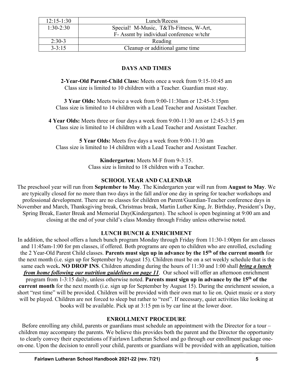| $12:15-1:30$ | Lunch/Recess                             |
|--------------|------------------------------------------|
| $1:30-2:30$  | Special! M-Music, T&Th-Fitness, W-Art,   |
|              | F- Assmt by individual conference w/tchr |
| $2:30-3$     | Reading                                  |
| $3 - 3:15$   | Cleanup or additional game time          |

# **DAYS AND TIMES**

**2-Year-Old Parent-Child Class:** Meets once a week from 9:15-10:45 am Class size is limited to 10 children with a Teacher. Guardian must stay.

**3 Year Olds:** Meets twice a week from 9:00-11:30am or 12:45-3:15pm Class size is limited to 14 children with a Lead Teacher and Assistant Teacher.

**4 Year Olds:** Meets three or four days a week from 9:00-11:30 am or 12:45-3:15 pm Class size is limited to 14 children with a Lead Teacher and Assistant Teacher.

**5 Year Olds:** Meets five days a week from 9:00-11:30 am Class size is limited to 14 children with a Lead Teacher and Assistant Teacher.

**Kindergarten:** Meets M-F from 9-3:15.

Class size is limited to 18 children with a Teacher.

# **SCHOOL YEAR AND CALENDAR**

The preschool year will run from **September to May**. The Kindergarten year will run from **August to May**. We are typically closed for no more than two days in the fall and/or one day in spring for teacher workshops and professional development. There are no classes for children on Parent/Guardian-Teacher conference days in November and March, Thanksgiving break, Christmas break, Martin Luther King, Jr. Birthday, President's Day, Spring Break, Easter Break and Memorial Day(Kindergarten). The school is open beginning at 9:00 am and closing at the end of your child's class Monday through Friday unless otherwise noted.

## **LUNCH BUNCH & ENRICHMENT**

In addition, the school offers a lunch bunch program Monday through Friday from 11:30-1:00pm for am classes and 11:45am-1:00 for pm classes, if offered. Both programs are open to children who are enrolled, excluding the 2 Year-Old Parent Child classes. **Parents must sign up in advance by the 15th of the current month** for the next month (i.e. sign up for September by August 15). Children must be on a set weekly schedule that is the same each week**. NO DROP INS**. Children attending during the hours of 11:30 and 1:00 shall *bring a lunch from home following our nutrition guidelines on page 11*. Our school will offer an afternoon enrichment program from 1-3:15 daily, unless otherwise noted. **Parents must sign up in advance by the 15th of the current month** for the next month (i.e. sign up for September by August 15). During the enrichment session, a short "rest time" will be provided. Children will be provided with their own mat to lie on. Quiet music or a story will be played. Children are not forced to sleep but rather to "rest". If necessary, quiet activities like looking at books will be available. Pick up at 3:15 pm is by car line at the lower door.

## **ENROLLMENT PROCEDURE**

Before enrolling any child, parents or guardians must schedule an appointment with the Director for a tour – children may accompany the parents. We believe this provides both the parent and the Director the opportunity to clearly convey their expectations of Fairlawn Lutheran School and go through our enrollment package oneon-one. Upon the decision to enroll your child, parents or guardians will be provided with an application, tuition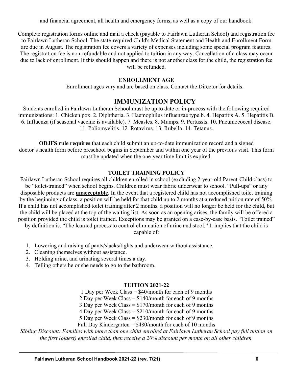and financial agreement, all health and emergency forms, as well as a copy of our handbook.

Complete registration forms online and mail a check (payable to Fairlawn Lutheran School) and registration fee to Fairlawn Lutheran School. The state-required Child's Medical Statement and Health and Enrollment Form are due in August. The registration fee covers a variety of expenses including some special program features. The registration fee is non-refundable and not applied to tuition in any way. Cancellation of a class may occur due to lack of enrollment. If this should happen and there is not another class for the child, the registration fee will be refunded.

#### **ENROLLMENT AGE**

Enrollment ages vary and are based on class. Contact the Director for details.

# **IMMUNIZATION POLICY**

Students enrolled in Fairlawn Lutheran School must be up to date or in-process with the following required immunizations: 1. Chicken pox. 2. Diphtheria. 3. Haemophilus influenzae type b. 4. Hepatitis A. 5. Hepatitis B. 6. Influenza (if seasonal vaccine is available). 7. Measles. 8. Mumps. 9. Pertussis. 10. Pneumococcal disease. 11. Poliomyelitis. 12. Rotavirus. 13. Rubella. 14. Tetanus.

**ODJFS rule requires** that each child submit an up-to-date immunization record and a signed doctor's health form before preschool begins in September and within one year of the previous visit. This form must be updated when the one-year time limit is expired.

#### **TOILET TRAINING POLICY**

Fairlawn Lutheran School requires all children enrolled in school (excluding 2-year-old Parent-Child class) to be "toilet-trained" when school begins. Children must wear fabric underwear to school. "Pull-ups" or any disposable products are **unacceptable**. In the event that a registered child has not accomplished toilet training by the beginning of class, a position will be held for that child up to 2 months at a reduced tuition rate of 50%. If a child has not accomplished toilet training after 2 months, a position will no longer be held for the child, but the child will be placed at the top of the waiting list. As soon as an opening arises, the family will be offered a position provided the child is toilet trained. Exceptions may be granted on a case-by-case basis. "Toilet trained"

by definition is, "The learned process to control elimination of urine and stool." It implies that the child is

capable of:

- 1. Lowering and raising of pants/slacks/tights and underwear without assistance.
- 2. Cleaning themselves without assistance.
- 3. Holding urine, and urinating several times a day.
- 4. Telling others he or she needs to go to the bathroom.

#### **TUITION 2021-22**

1 Day per Week Class = \$40/month for each of 9 months

2 Day per Week Class = \$140/month for each of 9 months

3 Day per Week Class = \$170/month for each of 9 months

4 Day per Week Class = \$210/month for each of 9 months

5 Day per Week Class = \$230/month for each of 9 months Full Day Kindergarten = \$480/month for each of 10 months

*Sibling Discount: Families with more than one child enrolled at Fairlawn Lutheran School pay full tuition on the first (oldest) enrolled child, then receive a 20% discount per month on all other children.*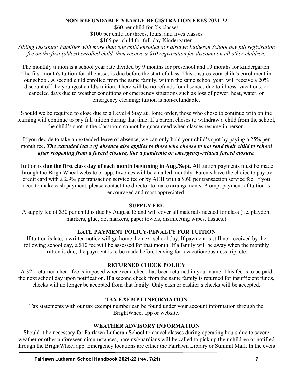## **NON-REFUNDABLE YEARLY REGISTRATION FEES 2021-22**

\$60 per child for 2's classes \$100 per child for threes, fours, and fives classes \$165 per child for full-day Kindergarten

*Sibling Discount: Families with more than one child enrolled at Fairlawn Lutheran School pay full registration fee on the first (oldest) enrolled child, then receive a \$10 registration fee discount on all other children.*

The monthly tuition is a school year rate divided by 9 months for preschool and 10 months for kindergarten. The first month's tuition for all classes is due before the start of class**.** This ensures your child's enrollment in our school. A second child enrolled from the same family, within the same school year, will receive a 20% discount off the youngest child's tuition. There will be **no** refunds for absences due to illness, vacations, or canceled days due to weather conditions or emergency situations such as loss of power, heat, water, or emergency cleaning; tuition is non-refundable.

Should we be required to close due to a Level 4 Stay at Home order, those who chose to continue with online learning will continue to pay full tuition during that time. If a parent choses to withdraw a child from the school, the child's spot in the classroom cannot be guaranteed when classes resume in person.

If you decide to take an extended leave of absence, we can only hold your child's spot by paying a 25% per month fee. *The extended leave of absence also applies to those who choose to not send their child to school after reopening from a forced closure, like a pandemic or emergency-related forced closure.*

Tuition is **due the first class day of each month beginning in Aug./Sept.** All tuition payments must be made through the BrightWheel website or app. Invoices will be emailed monthly. Parents have the choice to pay by credit card with a 2.9% per transaction service fee or by ACH with a \$.60 per transaction service fee. If you need to make cash payment, please contact the director to make arrangements. Prompt payment of tuition is encouraged and most appreciated.

## **SUPPLY FEE**

A supply fee of \$30 per child is due by August 15 and will cover all materials needed for class (i.e. playdoh, markers, glue, dot markers, paper towels, disinfecting wipes, tissues.)

# **LATE PAYMENT POLICY/PENALTY FOR TUITION**

If tuition is late, a written notice will go home the next school day. If payment is still not received by the following school day, a \$10 fee will be assessed for that month. If a family will be away when the monthly tuition is due, the payment is to be made before leaving for a vacation/business trip, etc.

## **RETURNED CHECK POLICY**

A \$25 returned check fee is imposed whenever a check has been returned in your name. This fee is to be paid the next school day upon notification. If a second check from the same family is returned for insufficient funds, checks will no longer be accepted from that family. Only cash or cashier's checks will be accepted.

# **TAX EXEMPT INFORMATION**

Tax statements with our tax exempt number can be found under your account information through the BrightWheel app or website.

# **WEATHER ADVISORY INFORMATION**

Should it be necessary for Fairlawn Lutheran School to cancel classes during operating hours due to severe weather or other unforeseen circumstances, parents/guardians will be called to pick up their children or notified through the BrightWheel app. Emergency locations are either the Fairlawn Library or Summit Mall. In the event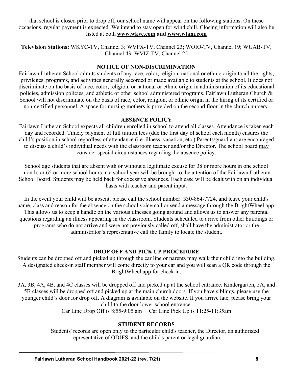that school is closed prior to drop off, our school name will appear on the following stations. On these occasions, regular payment is expected. We intend to stay open for wind chill. Closing information will also be listed at both **www.wkyc.com and www.wtam.com**

**Television Stations:** WKYC-TV, Channel 3; WVPX-TV, Channel 23; WOIO-TV, Channel 19; WUAB-TV, Channel 43; WVIZ-TV, Channel 25

#### **NOTICE OF NON-DISCRIMINATION**

Fairlawn Lutheran School admits students of any race, color, religion, national or ethnic origin to all the rights, privileges, programs, and activities generally accorded or made available to students at the school. It does not discriminate on the basis of race, color, religion, or national or ethnic origin in administration of its educational policies, admission policies, and athletic or other school administered programs. Fairlawn Lutheran Church & School will not discriminate on the basis of race, color, religion, or ethnic origin in the hiring of its certified or non-certified personnel. A space for nursing mothers is provided on the second floor in the church nursery.

#### **ABSENCE POLICY**

Fairlawn Lutheran School expects all children enrolled in school to attend all classes. Attendance is taken each day and recorded. Timely payment of full tuition fees (due the first day of school each month) ensures the child's position in school regardless of attendance (i.e. illness, vacation, etc.) Parents/guardians are encouraged to discuss a child's individual needs with the classroom teacher and/or the Director. The school board may consider special circumstances regarding the absence policy.

School age students that are absent with or without a legitimate excuse for 38 or more hours in one school month, or 65 or more school hours in a school year will be brought to the attention of the Fairlawn Lutheran School Board. Students may be held back for excessive absences. Each case will be dealt with on an individual basis with teacher and parent input.

In the event your child will be absent, please call the school number: 330-864-7724, and leave your child's name, class and reason for the absence on the school voicemail or send a message through the BrightWheel app. This allows us to keep a handle on the various illnesses going around and allows us to answer any parental questions regarding an illness appearing in the classroom. Students scheduled to arrive from other buildings or programs who do not arrive and were not previously called off, shall have the administrator or the administrator's representative call the family to locate the student.

## **DROP OFF AND PICK UP PROCEDURE**

Students can be dropped off and picked up through the car line or parents may walk their child into the building. A designated check-in staff member will come directly to your car and you will scan a QR code through the BrightWheel app for check in.

3A, 3B, 4A, 4B, and 4C classes will be dropped off and picked up at the school entrance. Kindergarten, 5A, and 5B classes will be dropped off and picked up at the main church doors. If you have siblings, please use the younger child's door for drop off. A diagram is available on the website. If you arrive late, please bring your child to the door lower school entrance. Car Line Drop Off is 8:55-9:05 am Car Line Pick Up is 11:25-11:35am

## **STUDENT RECORDS**

Students' records are open only to the particular child's teacher, the Director, an authorized representative of ODJFS, and the child's parent or legal guardian.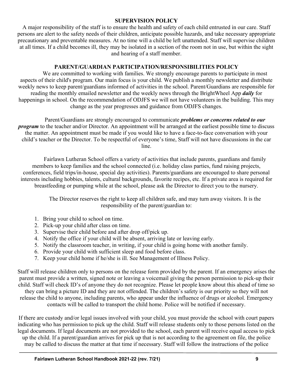#### **SUPERVISION POLICY**

A major responsibility of the staff is to ensure the health and safety of each child entrusted in our care. Staff persons are alert to the safety needs of their children, anticipate possible hazards, and take necessary appropriate precautionary and preventable measures. At no time will a child be left unattended. Staff will supervise children at all times. If a child becomes ill, they may be isolated in a section of the room not in use, but within the sight and hearing of a staff member.

## **PARENT/GUARDIAN PARTICIPATION/RESPONSIBILITIES POLICY**

We are committed to working with families. We strongly encourage parents to participate in most aspects of their child's program. Our main focus is your child. We publish a monthly newsletter and distribute weekly news to keep parent/guardians informed of activities in the school. Parent/Guardians are responsible for reading the monthly emailed newsletter and the weekly news through the BrightWheel App *daily* for happenings in school. On the recommendation of ODJFS we will not have volunteers in the building. This may change as the year progresses and guidance from ODJFS changes.

Parent/Guardians are strongly encouraged to communicate *problems or concerns related to our program* to the teacher and/or Director. An appointment will be arranged at the earliest possible time to discuss the matter. An appointment must be made if you would like to have a face-to-face conversation with your child's teacher or the Director. To be respectful of everyone's time, Staff will not have discussions in the car line.

Fairlawn Lutheran School offers a variety of activities that include parents, guardians and family members to keep families and the school connected (i.e. holiday class parties, fund raising projects, conferences, field trips/in-house, special day activities). Parents/guardians are encouraged to share personal interests including hobbies, talents, cultural backgrounds, favorite recipes, etc. If a private area is required for breastfeeding or pumping while at the school, please ask the Director to direct you to the nursery.

> The Director reserves the right to keep all children safe, and may turn away visitors. It is the responsibility of the parent/guardian to:

- 1. Bring your child to school on time.
- 2. Pick-up your child after class on time.
- 3. Supervise their child before and after drop off/pick up.
- 4. Notify the office if your child will be absent, arriving late or leaving early.
- 5. Notify the classroom teacher, in writing, if your child is going home with another family.
- 6. Provide your child with sufficient sleep and food before class.
- 7. Keep your child home if he/she is ill. See Management of Illness Policy.

Staff will release children only to persons on the release form provided by the parent. If an emergency arises the parent must provide a written, signed note or leaving a voicemail giving the person permission to pick-up their child. Staff will check ID's of anyone they do not recognize. Please let people know about this ahead of time so

they can bring a picture ID and they are not offended. The children's safety is our priority so they will not release the child to anyone, including parents, who appear under the influence of drugs or alcohol. Emergency contacts will be called to transport the child home. Police will be notified if necessary.

If there are custody and/or legal issues involved with your child, you must provide the school with court papers indicating who has permission to pick up the child. Staff will release students only to those persons listed on the legal documents. If legal documents are not provided to the school, each parent will receive equal access to pick up the child. If a parent/guardian arrives for pick up that is not according to the agreement on file, the police may be called to discuss the matter at that time if necessary. Staff will follow the instructions of the police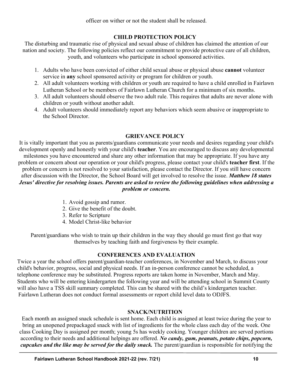officer on wither or not the student shall be released.

# **CHILD PROTECTION POLICY**

The disturbing and traumatic rise of physical and sexual abuse of children has claimed the attention of our nation and society. The following policies reflect our commitment to provide protective care of all children, youth, and volunteers who participate in school sponsored activities.

- 1. Adults who have been convicted of either child sexual abuse or physical abuse **cannot** volunteer service in **any** school sponsored activity or program for children or youth.
- 2. All adult volunteers working with children or youth are required to have a child enrolled in Fairlawn Lutheran School or be members of Fairlawn Lutheran Church for a minimum of six months.
- 3. All adult volunteers should observe the two adult rule. This requires that adults are never alone with children or youth without another adult.
- 4. Adult volunteers should immediately report any behaviors which seem abusive or inappropriate to the School Director.

## **GRIEVANCE POLICY**

It is vitally important that you as parents/guardians communicate your needs and desires regarding your child's development openly and honestly with your child's **teacher**. You are encouraged to discuss any developmental milestones you have encountered and share any other information that may be appropriate. If you have any problem or concern about our operation or your child's progress, please contact your child's **teacher first**. If the problem or concern is not resolved to your satisfaction, please contact the Director. If you still have concern after discussion with the Director, the School Board will get involved to resolve the issue. *Matthew 18 states Jesus' directive for resolving issues. Parents are asked to review the following guidelines when addressing a problem or concern.*

- 1. Avoid gossip and rumor.
- 2. Give the benefit of the doubt.
- 3. Refer to Scripture
- 4. Model Christ-like behavior

Parent/guardians who wish to train up their children in the way they should go must first go that way themselves by teaching faith and forgiveness by their example.

## **CONFERENCES AND EVALUATION**

Twice a year the school offers parent/guardian-teacher conferences, in November and March, to discuss your child's behavior, progress, social and physical needs. If an in-person conference cannot be scheduled, a telephone conference may be substituted. Progress reports are taken home in November, March and May. Students who will be entering kindergarten the following year and will be attending school in Summit County will also have a TSS skill summary completed. This can be shared with the child's kindergarten teacher. Fairlawn Lutheran does not conduct formal assessments or report child level data to ODJFS.

## **SNACK/NUTRITION**

Each month an assigned snack schedule is sent home. Each child is assigned at least twice during the year to bring an unopened prepackaged snack with list of ingredients for the whole class each day of the week. One class Cooking Day is assigned per month; young 5s has weekly cooking. Younger children are served portions according to their needs and additional helpings are offered. *No candy, gum, peanuts, potato chips, popcorn, cupcakes and the like may be served for the daily snack.* The parent/guardian is responsible for notifying the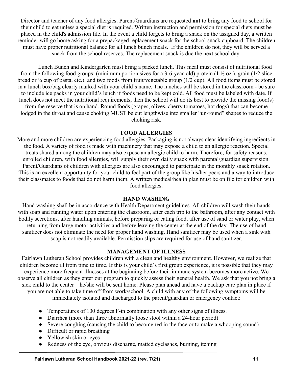Director and teacher of any food allergies. Parent/Guardians are requested **not** to bring any food to school for their child to eat unless a special diet is required. Written instruction and permission for special diets must be placed in the child's admission file. In the event a child forgets to bring a snack on the assigned day, a written reminder will go home asking for a prepackaged replacement snack for the school snack cupboard. The children must have proper nutritional balance for all lunch bunch meals. If the children do not, they will be served a snack from the school reserves. The replacement snack is due the next school day.

Lunch Bunch and Kindergarten must bring a packed lunch. This meal must consist of nutritional food from the following food groups: (minimum portion sizes for a 3-6-year-old) protein  $(1 \frac{1}{2}$  oz.), grain  $(1/2$  slice bread or ¼ cup of pasta, etc.), and two foods from fruit/vegetable group (1/2 cup). All food items must be stored in a lunch box/bag clearly marked with your child's name. The lunches will be stored in the classroom - be sure to include ice packs in your child's lunch if foods need to be kept cold. All food must be labeled with date. If lunch does not meet the nutritional requirements, then the school will do its best to provide the missing food(s) from the reserve that is on hand. Round foods (grapes, olives, cherry tomatoes, hot dogs) that can become lodged in the throat and cause choking MUST be cut lengthwise into smaller "un-round" shapes to reduce the choking risk.

#### **FOOD ALLERGIES**

More and more children are experiencing food allergies. Packaging is not always clear identifying ingredients in the food. A variety of food is made with machinery that may expose a child to an allergic reaction. Special treats shared among the children may also expose an allergic child to harm. Therefore, for safety reasons, enrolled children, with food allergies, will supply their own daily snack with parental/guardian supervision. Parent/Guardians of children with allergies are also encouraged to participate in the monthly snack rotation. This is an excellent opportunity for your child to feel part of the group like his/her peers and a way to introduce their classmates to foods that do not harm them. A written medical/health plan must be on file for children with food allergies.

## **HAND WASHING**

Hand washing shall be in accordance with Health Department guidelines. All children will wash their hands with soap and running water upon entering the classroom, after each trip to the bathroom, after any contact with bodily secretions, after handling animals, before preparing or eating food, after use of sand or water play, when returning from large motor activities and before leaving the center at the end of the day. The use of hand sanitizer does not eliminate the need for proper hand washing. Hand sanitizer may be used when a sink with soap is not readily available. Permission slips are required for use of hand sanitizer.

## **MANAGEMENT OF ILLNESS**

Fairlawn Lutheran School provides children with a clean and healthy environment. However, we realize that children become ill from time to time. If this is your child's first group experience, it is possible that they may experience more frequent illnesses at the beginning before their immune system becomes more active. We observe all children as they enter our program to quickly assess their general health. We ask that you not bring a sick child to the center – he/she will be sent home. Please plan ahead and have a backup care plan in place if you are not able to take time off from work/school. A child with any of the following symptoms will be immediately isolated and discharged to the parent/guardian or emergency contact:

- Temperatures of 100 degrees F-in combination with any other signs of illness.
- Diarrhea (more than three abnormally loose stool within a 24-hour period)
- Severe coughing (causing the child to become red in the face or to make a whooping sound)
- Difficult or rapid breathing
- Yellowish skin or eyes
- Redness of the eye, obvious discharge, matted eyelashes, burning, itching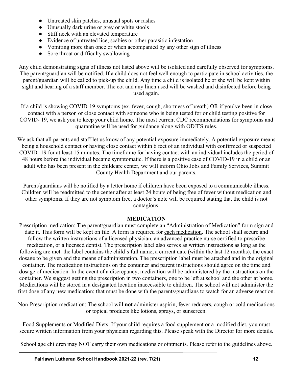- Untreated skin patches, unusual spots or rashes
- Unusually dark urine or grey or white stools
- Stiff neck with an elevated temperature
- Evidence of untreated lice, scabies or other parasitic infestation
- Vomiting more than once or when accompanied by any other sign of illness
- Sore throat or difficulty swallowing

Any child demonstrating signs of illness not listed above will be isolated and carefully observed for symptoms. The parent/guardian will be notified. If a child does not feel well enough to participate in school activities, the parent/guardian will be called to pick-up the child. Any time a child is isolated he or she will be kept within sight and hearing of a staff member. The cot and any linen used will be washed and disinfected before being used again.

If a child is showing COVID-19 symptoms (ex. fever, cough, shortness of breath) OR if you've been in close contact with a person or close contact with someone who is being tested for or child testing positive for COVID- 19, we ask you to keep your child home. The most current CDC recommendations for symptoms and quarantine will be used for guidance along with ODJFS rules.

We ask that all parents and staff let us know of any potential exposure immediately. A potential exposure means being a household contact or having close contact within 6 feet of an individual with confirmed or suspected COVID- 19 for at least 15 minutes. The timeframe for having contact with an individual includes the period of 48 hours before the individual became symptomatic. If there is a positive case of COVID-19 in a child or an adult who has been present in the childcare center, we will inform Ohio Jobs and Family Services, Summit County Health Department and our parents.

Parent/guardians will be notified by a letter home if children have been exposed to a communicable illness. Children will be readmitted to the center after at least 24 hours of being free of fever without medication and other symptoms. If they are not symptom free, a doctor's note will be required stating that the child is not contagious.

## **MEDICATION**

Prescription medication: The parent/guardian must complete an "Administration of Medication" form sign and date it. This form will be kept on file. A form is required for each medication. The school shall secure and follow the written instructions of a licensed physician, an advanced practice nurse certified to prescribe medication, or a licensed dentist. The prescription label also serves as written instructions as long as the following are met: the label contains the child's full name, a current date (within the last 12 months), the exact dosage to be given and the means of administration. The prescription label must be attached and in the original container. The medication instructions on the container and parent instructions should agree on the time and dosage of medication. In the event of a discrepancy, medication will be administered by the instructions on the container. We suggest getting the prescription in two containers, one to be left at school and the other at home. Medications will be stored in a designated location inaccessible to children. The school will not administer the first dose of any new medication; that must be done with the parents/guardians to watch for an adverse reaction.

Non-Prescription medication: The school will **not** administer aspirin, fever reducers, cough or cold medications or topical products like lotions, sprays, or sunscreen.

Food Supplements or Modified Diets: If your child requires a food supplement or a modified diet, you must secure written information from your physician regarding this. Please speak with the Director for more details.

School age children may NOT carry their own medications or ointments. Please refer to the guidelines above.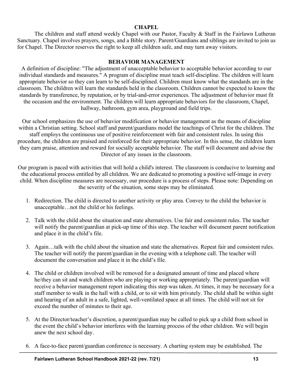#### **CHAPEL**

The children and staff attend weekly Chapel with our Pastor, Faculty & Staff in the Fairlawn Lutheran Sanctuary. Chapel involves prayers, songs, and a Bible story. Parent/Guardians and siblings are invited to join us for Chapel. The Director reserves the right to keep all children safe, and may turn away visitors.

#### **BEHAVIOR MANAGEMENT**

A definition of discipline: "The adjustment of unacceptable behavior to acceptable behavior according to our individual standards and measures." A program of discipline must teach self-discipline. The children will learn appropriate behavior so they can learn to be self-disciplined. Children must know what the standards are in the classroom. The children will learn the standards held in the classroom. Children cannot be expected to know the standards by transference, by reputation, or by trial-and-error experiences. The adjustment of behavior must fit the occasion and the environment. The children will learn appropriate behaviors for the classroom, Chapel, hallway, bathroom, gym area, playground and field trips.

Our school emphasizes the use of behavior modification or behavior management as the means of discipline within a Christian setting. School staff and parent/guardians model the teachings of Christ for the children. The staff employs the continuous use of positive reinforcement with fair and consistent rules. In using this procedure, the children are praised and reinforced for their appropriate behavior. In this sense, the children learn they earn praise, attention and reward for socially acceptable behavior. The staff will document and advise the Director of any issues in the classroom.

Our program is paced with activities that will hold a child's interest. The classroom is conducive to learning and the educational process entitled by all children. We are dedicated to promoting a positive self-image in every child. When discipline measures are necessary, our procedure is a process of steps. Please note: Depending on the severity of the situation, some steps may be eliminated.

- 1. Redirection. The child is directed to another activity or play area. Convey to the child the behavior is unacceptable…not the child or his feelings.
- 2. Talk with the child about the situation and state alternatives. Use fair and consistent rules. The teacher will notify the parent/guardian at pick-up time of this step. The teacher will document parent notification and place it in the child's file.
- 3. Again…talk with the child about the situation and state the alternatives. Repeat fair and consistent rules. The teacher will notify the parent/guardian in the evening with a telephone call. The teacher will document the conversation and place it in the child's file.
- 4. The child or children involved will be removed for a designated amount of time and placed where he/they can sit and watch children who are playing or working appropriately. The parent/guardian will receive a behavior management report indicating this step was taken. At times, it may be necessary for a staff member to walk in the hall with a child, or to sit with him privately. The child shall be within sight and hearing of an adult in a safe, lighted, well-ventilated space at all times. The child will not sit for exceed the number of minutes to their age.
- 5. At the Director/teacher's discretion, a parent/guardian may be called to pick up a child from school in the event the child's behavior interferes with the learning process of the other children. We will begin anew the next school day.
- 6. A face-to-face parent/guardian conference is necessary. A charting system may be established. The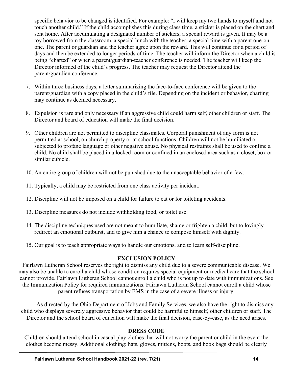specific behavior to be changed is identified. For example: "I will keep my two hands to myself and not touch another child." If the child accomplishes this during class time, a sticker is placed on the chart and sent home. After accumulating a designated number of stickers, a special reward is given. It may be a toy borrowed from the classroom, a special lunch with the teacher, a special time with a parent one-onone. The parent or guardian and the teacher agree upon the reward. This will continue for a period of days and then be extended to longer periods of time. The teacher will inform the Director when a child is being "charted" or when a parent/guardian-teacher conference is needed. The teacher will keep the Director informed of the child's progress. The teacher may request the Director attend the parent/guardian conference.

- 7. Within three business days, a letter summarizing the face-to-face conference will be given to the parent/guardian with a copy placed in the child's file. Depending on the incident or behavior, charting may continue as deemed necessary.
- 8. Expulsion is rare and only necessary if an aggressive child could harm self, other children or staff. The Director and board of education will make the final decision.
- 9. Other children are not permitted to discipline classmates. Corporal punishment of any form is not permitted at school, on church property or at school functions. Children will not be humiliated or subjected to profane language or other negative abuse. No physical restraints shall be used to confine a child. No child shall be placed in a locked room or confined in an enclosed area such as a closet, box or similar cubicle.
- 10. An entire group of children will not be punished due to the unacceptable behavior of a few.
- 11. Typically, a child may be restricted from one class activity per incident.
- 12. Discipline will not be imposed on a child for failure to eat or for toileting accidents.
- 13. Discipline measures do not include withholding food, or toilet use.
- 14. The discipline techniques used are not meant to humiliate, shame or frighten a child, but to lovingly redirect an emotional outburst, and to give him a chance to compose himself with dignity.
- 15. Our goal is to teach appropriate ways to handle our emotions, and to learn self-discipline.

## **EXCLUSION POLICY**

Fairlawn Lutheran School reserves the right to dismiss any child due to a severe communicable disease. We may also be unable to enroll a child whose condition requires special equipment or medical care that the school cannot provide. Fairlawn Lutheran School cannot enroll a child who is not up to date with immunizations. See the Immunization Policy for required immunizations. Fairlawn Lutheran School cannot enroll a child whose parent refuses transportation by EMS in the case of a severe illness or injury.

As directed by the Ohio Department of Jobs and Family Services, we also have the right to dismiss any child who displays severely aggressive behavior that could be harmful to himself, other children or staff. The Director and the school board of education will make the final decision, case-by-case, as the need arises.

## **DRESS CODE**

Children should attend school in casual play clothes that will not worry the parent or child in the event the clothes become messy. Additional clothing: hats, gloves, mittens, boots, and book bags should be clearly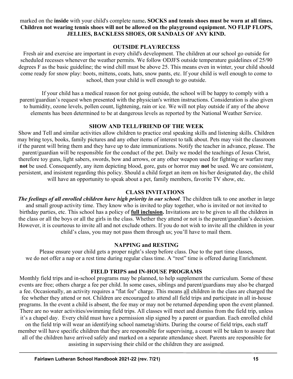marked on the **inside** with your child's complete name**. SOCKS and tennis shoes must be worn at all times. Children not wearing tennis shoes will not be allowed on the playground equipment. NO FLIP FLOPS, JELLIES, BACKLESS SHOES, OR SANDALS OF ANY KIND.**

#### **OUTSIDE PLAY/RECESS**

Fresh air and exercise are important in every child's development. The children at our school go outside for scheduled recesses whenever the weather permits. We follow ODJFS outside temperature guidelines of 25/90 degrees F as the basic guideline; the wind chill must be above 25. This means even in winter, your child should come ready for snow play: boots, mittens, coats, hats, snow pants, etc. If your child is well enough to come to school, then your child is well enough to go outside.

If your child has a medical reason for not going outside, the school will be happy to comply with a parent/guardian's request when presented with the physician's written instructions. Consideration is also given to humidity, ozone levels, pollen count, lightening, rain or ice. We will not play outside if any of the above elements has been determined to be at dangerous levels as reported by the National Weather Service.

## **SHOW AND TELL/FRIEND OF THE WEEK**

Show and Tell and similar activities allow children to practice oral speaking skills and listening skills. Children may bring toys, books, family pictures and any other items of interest to talk about. Pets may visit the classroom if the parent will bring them and they have up to date immunizations. Notify the teacher in advance, please. The parent/guardian will be responsible for the conduct of the pet. Daily we model the teachings of Jesus Christ, therefore toy guns, light sabers, swords, bow and arrows, or any other weapon used for fighting or warfare may **not** be used. Consequently, any item depicting blood, gore, guts or horror may **not** be used. We are consistent, persistent, and insistent regarding this policy. Should a child forget an item on his/her designated day, the child will have an opportunity to speak about a pet, family members, favorite TV show, etc.

#### **CLASS INVITATIONS**

*The feelings of all enrolled children have high priority in our school*. The children talk to one another in large and small group activity time. They know who is invited to play together, who is invited or not invited to birthday parties, etc. This school has a policy of **full inclusion.** Invitations are to be given to all the children in the class or all the boys or all the girls in the class. Whether they attend or not is the parent/guardian's decision. However, it is courteous to invite all and not exclude others. If you do not wish to invite all the children in your child's class, you may not pass them through us; you'll have to mail them.

## **NAPPING and RESTING**

Please ensure your child gets a proper night's sleep before class. Due to the part time classes, we do not offer a nap or a rest time during regular class time. A "rest" time is offered during Enrichment.

## **FIELD TRIPS and IN-HOUSE PROGRAMS**

Monthly field trips and in-school programs may be planned, to help supplement the curriculum. Some of these events are free; others charge a fee per child. In some cases, siblings and parent/guardians may also be charged a fee. Occasionally, an activity requires a "flat fee" charge. This means all children in the class are charged the fee whether they attend or not. Children are encouraged to attend all field trips and participate in all in-house programs. In the event a child is absent, the fee may or may not be returned depending upon the event planned. There are no water activities/swimming field trips. All classes will meet and dismiss from the field trip, unless it's a chapel day. Every child must have a permission slip signed by a parent or guardian. Each enrolled child on the field trip will wear an identifying school nametag/shirts. During the course of field trips, each staff member will have specific children that they are responsible for supervising, a count will be taken to assure that all of the children have arrived safely and marked on a separate attendance sheet. Parents are responsible for assisting in supervising their child or the children they are assigned.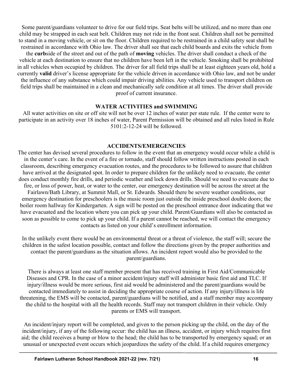Some parent/guardians volunteer to drive for our field trips. Seat belts will be utilized, and no more than one child may be strapped in each seat belt. Children may not ride in the front seat. Children shall not be permitted to stand in a moving vehicle, or sit on the floor. Children required to be restrained in a child safety seat shall be restrained in accordance with Ohio law. The driver shall see that each child boards and exits the vehicle from

the **curb**side of the street and out of the path of **moving** vehicles. The driver shall conduct a check of the vehicle at each destination to ensure that no children have been left in the vehicle. Smoking shall be prohibited in all vehicles when occupied by children. The driver for all field trips shall be at least eighteen years old, hold a currently **valid** driver's license appropriate for the vehicle driven in accordance with Ohio law, and not be under the influence of any substance which could impair driving abilities. Any vehicle used to transport children on field trips shall be maintained in a clean and mechanically safe condition at all times. The driver shall provide proof of current insurance.

#### **WATER ACTIVITIES and SWIMMING**

All water activities on site or off site will not be over 12 inches of water per state rule. If the center were to participate in an activity over 18 inches of water, Parent Permission will be obtained and all rules listed in Rule 5101:2-12-24 will be followed.

#### **ACCIDENTS/EMERGENCIES**

The center has devised several procedures to follow in the event that an emergency would occur while a child is in the center's care. In the event of a fire or tornado, staff should follow written instructions posted in each classroom, describing emergency evacuation routes, and the procedures to be followed to assure that children have arrived at the designated spot. In order to prepare children for the unlikely need to evacuate, the center does conduct monthly fire drills, and periodic weather and lock down drills. Should we need to evacuate due to fire, or loss of power, heat, or water to the center, our emergency destination will be across the street at the Fairlawn/Bath Library, at Summit Mall, or St. Edwards. Should there be severe weather conditions, our emergency destination for preschoolers is the music room just outside the inside preschool double doors; the boiler room hallway for Kindergarten. A sign will be posted on the preschool entrance door indicating that we have evacuated and the location where you can pick up your child. Parent/Guardians will also be contacted as soon as possible to come to pick up your child. If a parent cannot be reached, we will contact the emergency contacts as listed on your child's enrollment information.

In the unlikely event there would be an environmental threat or a threat of violence, the staff will; secure the children in the safest location possible, contact and follow the directions given by the proper authorities and contact the parent/guardians as the situation allows. An incident report would also be provided to the parent/guardians.

There is always at least one staff member present that has received training in First Aid/Communicable Diseases and CPR. In the case of a minor accident/injury staff will administer basic first aid and TLC. If injury/illness would be more serious, first aid would be administered and the parent/guardians would be contacted immediately to assist in deciding the appropriate course of action. If any injury/illness is life threatening, the EMS will be contacted, parent/guardians will be notified, and a staff member may accompany the child to the hospital with all the health records. Staff may not transport children in their vehicle. Only parents or EMS will transport.

An incident/injury report will be completed, and given to the person picking up the child, on the day of the incident/injury, if any of the following occur: the child has an illness, accident, or injury which requires first aid; the child receives a bump or blow to the head; the child has to be transported by emergency squad; or an unusual or unexpected event occurs which jeopardizes the safety of the child. If a child requires emergency